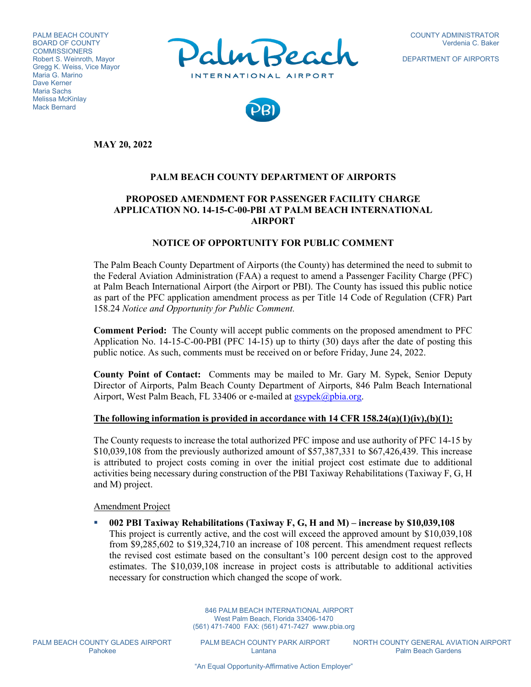PALM BEACH COUNTY BOARD OF COUNTY **COMMISSIONERS** Robert S. Weinroth, Mayor Gregg K. Weiss, Vice Mayor Maria G. Marino Dave Kerner Maria Sachs Melissa McKinlay Mack Bernard



DEPARTMENT OF AIRPORTS



**MAY 20, 2022**

## **PALM BEACH COUNTY DEPARTMENT OF AIRPORTS**

# **PROPOSED AMENDMENT FOR PASSENGER FACILITY CHARGE APPLICATION NO. 14-15-C-00-PBI AT PALM BEACH INTERNATIONAL AIRPORT**

## **NOTICE OF OPPORTUNITY FOR PUBLIC COMMENT**

The Palm Beach County Department of Airports (the County) has determined the need to submit to the Federal Aviation Administration (FAA) a request to amend a Passenger Facility Charge (PFC) at Palm Beach International Airport (the Airport or PBI). The County has issued this public notice as part of the PFC application amendment process as per Title 14 Code of Regulation (CFR) Part 158.24 *Notice and Opportunity for Public Comment.*

**Comment Period:** The County will accept public comments on the proposed amendment to PFC Application No. 14-15-C-00-PBI (PFC 14-15) up to thirty (30) days after the date of posting this public notice. As such, comments must be received on or before Friday, June 24, 2022.

**County Point of Contact:** Comments may be mailed to Mr. Gary M. Sypek, Senior Deputy Director of Airports, Palm Beach County Department of Airports, 846 Palm Beach International Airport, West Palm Beach, FL 33406 or e-mailed at [gsypek@pbia.org.](mailto:gsypek@pbia.org)

### **The following information is provided in accordance with 14 CFR 158.24(a)(1)(iv),(b)(1):**

The County requests to increase the total authorized PFC impose and use authority of PFC 14-15 by \$10,039,108 from the previously authorized amount of \$57,387,331 to \$67,426,439. This increase is attributed to project costs coming in over the initial project cost estimate due to additional activities being necessary during construction of the PBI Taxiway Rehabilitations (Taxiway F, G, H and M) project.

Amendment Project

 **002 PBI Taxiway Rehabilitations (Taxiway F, G, H and M) – increase by \$10,039,108** This project is currently active, and the cost will exceed the approved amount by \$10,039,108 from \$9,285,602 to \$19,324,710 an increase of 108 percent. This amendment request reflects the revised cost estimate based on the consultant's 100 percent design cost to the approved estimates. The \$10,039,108 increase in project costs is attributable to additional activities necessary for construction which changed the scope of work.

> 846 PALM BEACH INTERNATIONAL AIRPORT West Palm Beach, Florida 33406-1470 (561) 471-7400 FAX: (561) 471-7427 www.pbia.org

PALM BEACH COUNTY GLADES AIRPORT PALM BEACH COUNTY PARK AIRPORT NORTH COUNTY GENERAL AVIATION AIRPORT<br>Palm Beach Gardens Palm Beach Gardens